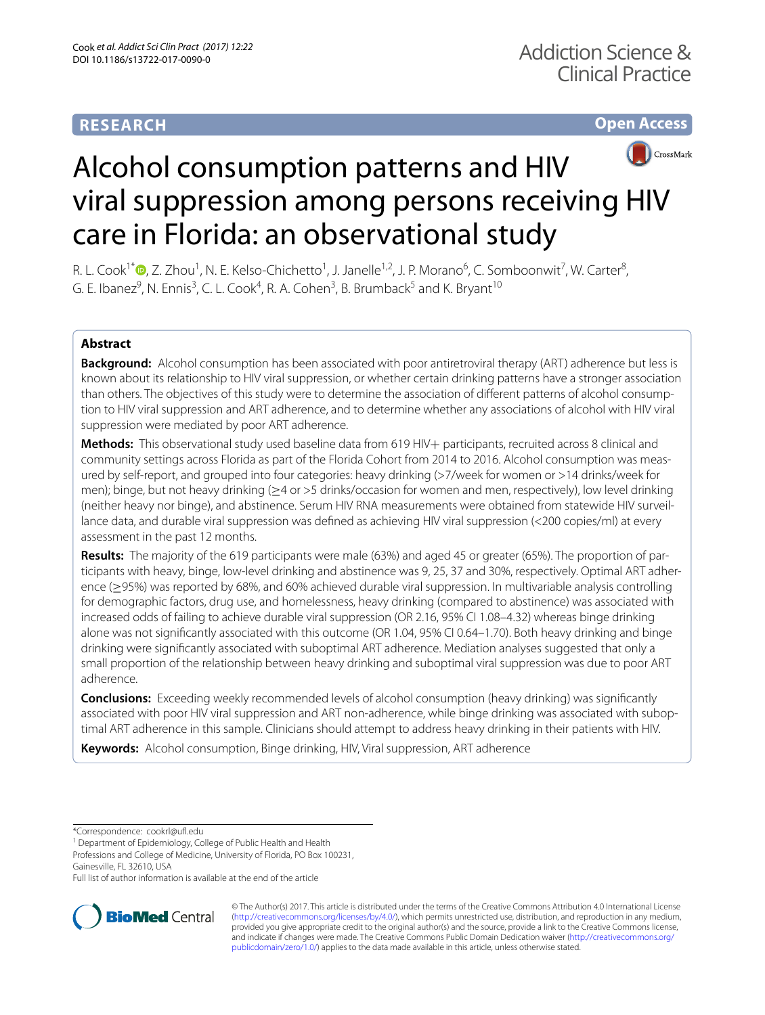# **RESEARCH**

**Open Access**



# Alcohol consumption patterns and HIV viral suppression among persons receiving HIV care in Florida: an observational study

R. L. Cook<sup>1\*</sup>®[,](http://orcid.org/0000-0002-7770-3754) Z. Zhou<sup>1</sup>, N. E. Kelso-Chichetto<sup>1</sup>, J. Janelle<sup>1,2</sup>, J. P. Morano<sup>6</sup>, C. Somboonwit<sup>7</sup>, W. Carter<sup>8</sup>, G. E. Ibanez $^9$ , N. Ennis $^3$ , C. L. Cook $^4$ , R. A. Cohen $^3$ , B. Brumback $^5$  and K. Bryant $^{10}$ 

## **Abstract**

**Background:** Alcohol consumption has been associated with poor antiretroviral therapy (ART) adherence but less is known about its relationship to HIV viral suppression, or whether certain drinking patterns have a stronger association than others. The objectives of this study were to determine the association of different patterns of alcohol consumption to HIV viral suppression and ART adherence, and to determine whether any associations of alcohol with HIV viral suppression were mediated by poor ART adherence.

**Methods:** This observational study used baseline data from 619 HIV+ participants, recruited across 8 clinical and community settings across Florida as part of the Florida Cohort from 2014 to 2016. Alcohol consumption was meas‑ ured by self-report, and grouped into four categories: heavy drinking (>7/week for women or >14 drinks/week for men); binge, but not heavy drinking (≥4 or >5 drinks/occasion for women and men, respectively), low level drinking (neither heavy nor binge), and abstinence. Serum HIV RNA measurements were obtained from statewide HIV surveil‑ lance data, and durable viral suppression was defned as achieving HIV viral suppression (<200 copies/ml) at every assessment in the past 12 months.

**Results:** The majority of the 619 participants were male (63%) and aged 45 or greater (65%). The proportion of par‑ ticipants with heavy, binge, low-level drinking and abstinence was 9, 25, 37 and 30%, respectively. Optimal ART adherence (≥95%) was reported by 68%, and 60% achieved durable viral suppression. In multivariable analysis controlling for demographic factors, drug use, and homelessness, heavy drinking (compared to abstinence) was associated with increased odds of failing to achieve durable viral suppression (OR 2.16, 95% CI 1.08–4.32) whereas binge drinking alone was not signifcantly associated with this outcome (OR 1.04, 95% CI 0.64–1.70). Both heavy drinking and binge drinking were signifcantly associated with suboptimal ART adherence. Mediation analyses suggested that only a small proportion of the relationship between heavy drinking and suboptimal viral suppression was due to poor ART adherence.

**Conclusions:** Exceeding weekly recommended levels of alcohol consumption (heavy drinking) was significantly associated with poor HIV viral suppression and ART non-adherence, while binge drinking was associated with suboptimal ART adherence in this sample. Clinicians should attempt to address heavy drinking in their patients with HIV.

**Keywords:** Alcohol consumption, Binge drinking, HIV, Viral suppression, ART adherence

\*Correspondence: cookrl@uf.edu

<sup>1</sup> Department of Epidemiology, College of Public Health and Health

Professions and College of Medicine, University of Florida, PO Box 100231,

Gainesville, FL 32610, USA

Full list of author information is available at the end of the article



© The Author(s) 2017. This article is distributed under the terms of the Creative Commons Attribution 4.0 International License [\(http://creativecommons.org/licenses/by/4.0/\)](http://creativecommons.org/licenses/by/4.0/), which permits unrestricted use, distribution, and reproduction in any medium, provided you give appropriate credit to the original author(s) and the source, provide a link to the Creative Commons license, and indicate if changes were made. The Creative Commons Public Domain Dedication waiver ([http://creativecommons.org/](http://creativecommons.org/publicdomain/zero/1.0/) [publicdomain/zero/1.0/](http://creativecommons.org/publicdomain/zero/1.0/)) applies to the data made available in this article, unless otherwise stated.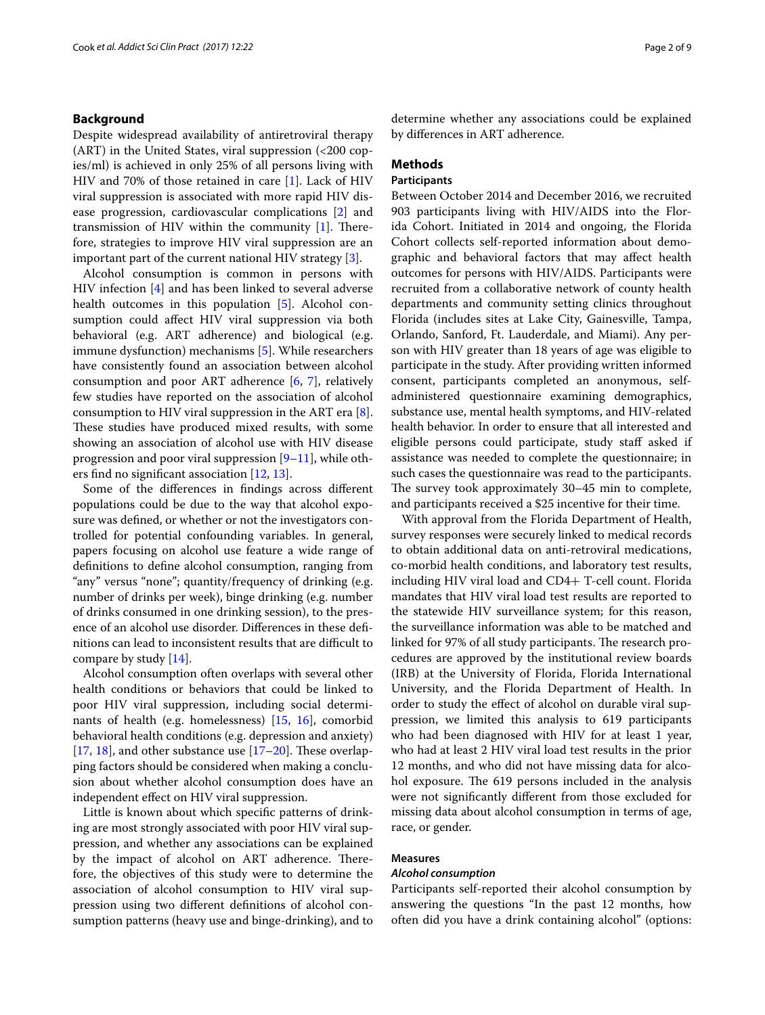## **Background**

Despite widespread availability of antiretroviral therapy  $(ART)$  in the United States, viral suppression  $\left( < 200 \text{ cop} \right)$ ies/ml) is achieved in only 25% of all persons living with HIV and 70% of those retained in care [\[1\]](#page-7-0). Lack of HIV viral suppression is associated with more rapid HIV disease progression, cardiovascular complications [[2\]](#page-7-1) and transmission of HIV within the community  $[1]$ . Therefore, strategies to improve HIV viral suppression are an important part of the current national HIV strategy [[3\]](#page-7-2).

Alcohol consumption is common in persons with HIV infection [\[4](#page-7-3)] and has been linked to several adverse health outcomes in this population [\[5\]](#page-7-4). Alcohol consumption could afect HIV viral suppression via both behavioral (e.g. ART adherence) and biological (e.g. immune dysfunction) mechanisms [[5\]](#page-7-4). While researchers have consistently found an association between alcohol consumption and poor ART adherence [[6,](#page-7-5) [7](#page-7-6)], relatively few studies have reported on the association of alcohol consumption to HIV viral suppression in the ART era [\[8](#page-7-7)]. These studies have produced mixed results, with some showing an association of alcohol use with HIV disease progression and poor viral suppression  $[9-11]$  $[9-11]$  $[9-11]$ , while others fnd no signifcant association [\[12,](#page-7-10) [13](#page-7-11)].

Some of the diferences in fndings across diferent populations could be due to the way that alcohol exposure was defned, or whether or not the investigators controlled for potential confounding variables. In general, papers focusing on alcohol use feature a wide range of defnitions to defne alcohol consumption, ranging from "any" versus "none"; quantity/frequency of drinking (e.g. number of drinks per week), binge drinking (e.g. number of drinks consumed in one drinking session), to the presence of an alcohol use disorder. Diferences in these defnitions can lead to inconsistent results that are difficult to compare by study [\[14\]](#page-7-12).

Alcohol consumption often overlaps with several other health conditions or behaviors that could be linked to poor HIV viral suppression, including social determinants of health (e.g. homelessness) [\[15](#page-7-13), [16\]](#page-7-14), comorbid behavioral health conditions (e.g. depression and anxiety) [[17,](#page-7-15) [18](#page-7-16)], and other substance use  $[17–20]$  $[17–20]$  $[17–20]$ . These overlapping factors should be considered when making a conclusion about whether alcohol consumption does have an independent efect on HIV viral suppression.

Little is known about which specifc patterns of drinking are most strongly associated with poor HIV viral suppression, and whether any associations can be explained by the impact of alcohol on ART adherence. Therefore, the objectives of this study were to determine the association of alcohol consumption to HIV viral suppression using two diferent defnitions of alcohol consumption patterns (heavy use and binge-drinking), and to determine whether any associations could be explained by diferences in ART adherence.

## **Methods**

## **Participants**

Between October 2014 and December 2016, we recruited 903 participants living with HIV/AIDS into the Florida Cohort. Initiated in 2014 and ongoing, the Florida Cohort collects self-reported information about demographic and behavioral factors that may afect health outcomes for persons with HIV/AIDS. Participants were recruited from a collaborative network of county health departments and community setting clinics throughout Florida (includes sites at Lake City, Gainesville, Tampa, Orlando, Sanford, Ft. Lauderdale, and Miami). Any person with HIV greater than 18 years of age was eligible to participate in the study. After providing written informed consent, participants completed an anonymous, selfadministered questionnaire examining demographics, substance use, mental health symptoms, and HIV-related health behavior. In order to ensure that all interested and eligible persons could participate, study staf asked if assistance was needed to complete the questionnaire; in such cases the questionnaire was read to the participants. The survey took approximately 30–45 min to complete, and participants received a \$25 incentive for their time.

With approval from the Florida Department of Health, survey responses were securely linked to medical records to obtain additional data on anti-retroviral medications, co-morbid health conditions, and laboratory test results, including HIV viral load and CD4+ T-cell count. Florida mandates that HIV viral load test results are reported to the statewide HIV surveillance system; for this reason, the surveillance information was able to be matched and linked for 97% of all study participants. The research procedures are approved by the institutional review boards (IRB) at the University of Florida, Florida International University, and the Florida Department of Health. In order to study the efect of alcohol on durable viral suppression, we limited this analysis to 619 participants who had been diagnosed with HIV for at least 1 year, who had at least 2 HIV viral load test results in the prior 12 months, and who did not have missing data for alcohol exposure. The 619 persons included in the analysis were not signifcantly diferent from those excluded for missing data about alcohol consumption in terms of age, race, or gender.

## **Measures**

## *Alcohol consumption*

Participants self-reported their alcohol consumption by answering the questions "In the past 12 months, how often did you have a drink containing alcohol" (options: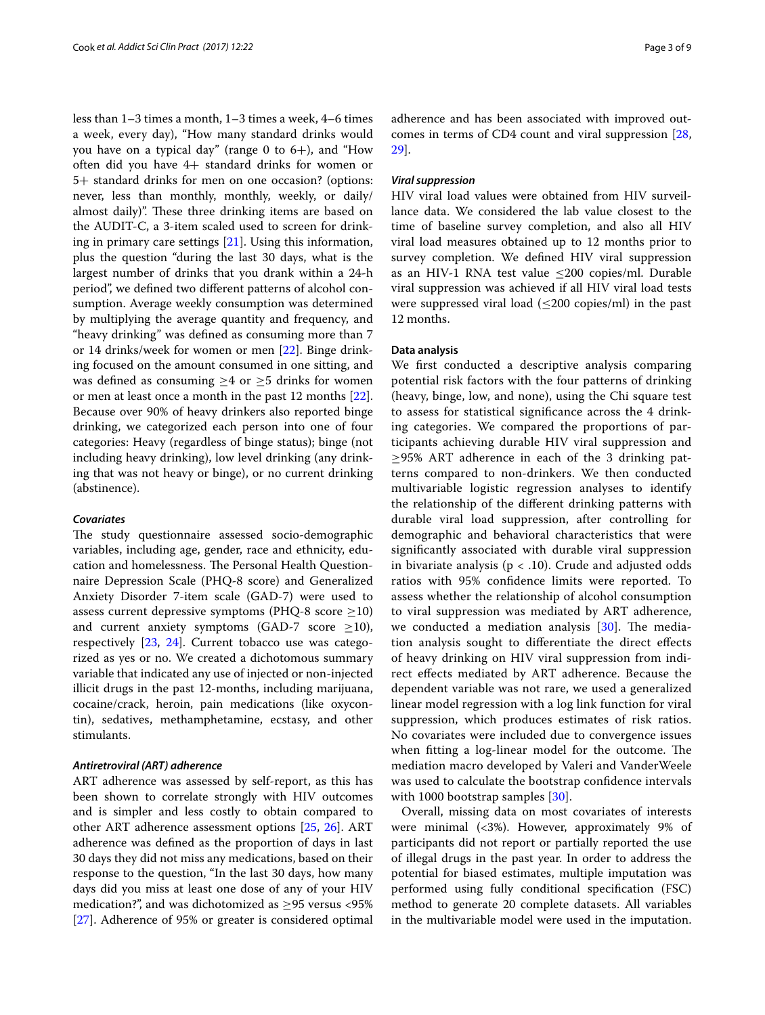less than 1–3 times a month, 1–3 times a week, 4–6 times a week, every day), "How many standard drinks would you have on a typical day" (range 0 to  $6+$ ), and "How often did you have 4+ standard drinks for women or 5+ standard drinks for men on one occasion? (options: never, less than monthly, monthly, weekly, or daily/ almost daily)". These three drinking items are based on the AUDIT-C, a 3-item scaled used to screen for drinking in primary care settings  $[21]$  $[21]$ . Using this information, plus the question "during the last 30 days, what is the largest number of drinks that you drank within a 24-h period", we defned two diferent patterns of alcohol consumption. Average weekly consumption was determined by multiplying the average quantity and frequency, and "heavy drinking" was defned as consuming more than 7 or 14 drinks/week for women or men [\[22](#page-7-19)]. Binge drinking focused on the amount consumed in one sitting, and was defined as consuming  $\geq 4$  or  $\geq 5$  drinks for women or men at least once a month in the past 12 months [\[22](#page-7-19)]. Because over 90% of heavy drinkers also reported binge drinking, we categorized each person into one of four categories: Heavy (regardless of binge status); binge (not including heavy drinking), low level drinking (any drinking that was not heavy or binge), or no current drinking (abstinence).

## *Covariates*

The study questionnaire assessed socio-demographic variables, including age, gender, race and ethnicity, education and homelessness. The Personal Health Questionnaire Depression Scale (PHQ-8 score) and Generalized Anxiety Disorder 7-item scale (GAD-7) were used to assess current depressive symptoms (PHQ-8 score  $\geq$ 10) and current anxiety symptoms (GAD-7 score  $\geq$ 10), respectively [[23,](#page-8-0) [24](#page-8-1)]. Current tobacco use was categorized as yes or no. We created a dichotomous summary variable that indicated any use of injected or non-injected illicit drugs in the past 12-months, including marijuana, cocaine/crack, heroin, pain medications (like oxycontin), sedatives, methamphetamine, ecstasy, and other stimulants.

## *Antiretroviral (ART) adherence*

ART adherence was assessed by self-report, as this has been shown to correlate strongly with HIV outcomes and is simpler and less costly to obtain compared to other ART adherence assessment options [[25,](#page-8-2) [26](#page-8-3)]. ART adherence was defned as the proportion of days in last 30 days they did not miss any medications, based on their response to the question, "In the last 30 days, how many days did you miss at least one dose of any of your HIV medication?", and was dichotomized as  $\geq$ 95 versus <95% [[27\]](#page-8-4). Adherence of 95% or greater is considered optimal adherence and has been associated with improved outcomes in terms of CD4 count and viral suppression [[28](#page-8-5), [29\]](#page-8-6).

#### *Viral suppression*

HIV viral load values were obtained from HIV surveillance data. We considered the lab value closest to the time of baseline survey completion, and also all HIV viral load measures obtained up to 12 months prior to survey completion. We defned HIV viral suppression as an HIV-1 RNA test value  $\leq$ 200 copies/ml. Durable viral suppression was achieved if all HIV viral load tests were suppressed viral load  $(\leq 200 \text{ copies/ml})$  in the past 12 months.

## **Data analysis**

We frst conducted a descriptive analysis comparing potential risk factors with the four patterns of drinking (heavy, binge, low, and none), using the Chi square test to assess for statistical signifcance across the 4 drinking categories. We compared the proportions of participants achieving durable HIV viral suppression and  $\geq$ 95% ART adherence in each of the 3 drinking patterns compared to non-drinkers. We then conducted multivariable logistic regression analyses to identify the relationship of the diferent drinking patterns with durable viral load suppression, after controlling for demographic and behavioral characteristics that were signifcantly associated with durable viral suppression in bivariate analysis ( $p < .10$ ). Crude and adjusted odds ratios with 95% confdence limits were reported. To assess whether the relationship of alcohol consumption to viral suppression was mediated by ART adherence, we conducted a mediation analysis  $[30]$  $[30]$  $[30]$ . The mediation analysis sought to diferentiate the direct efects of heavy drinking on HIV viral suppression from indirect efects mediated by ART adherence. Because the dependent variable was not rare, we used a generalized linear model regression with a log link function for viral suppression, which produces estimates of risk ratios. No covariates were included due to convergence issues when fitting a log-linear model for the outcome. The mediation macro developed by Valeri and VanderWeele was used to calculate the bootstrap confdence intervals with 1000 bootstrap samples [[30](#page-8-7)].

Overall, missing data on most covariates of interests were minimal (<3%). However, approximately 9% of participants did not report or partially reported the use of illegal drugs in the past year. In order to address the potential for biased estimates, multiple imputation was performed using fully conditional specifcation (FSC) method to generate 20 complete datasets. All variables in the multivariable model were used in the imputation.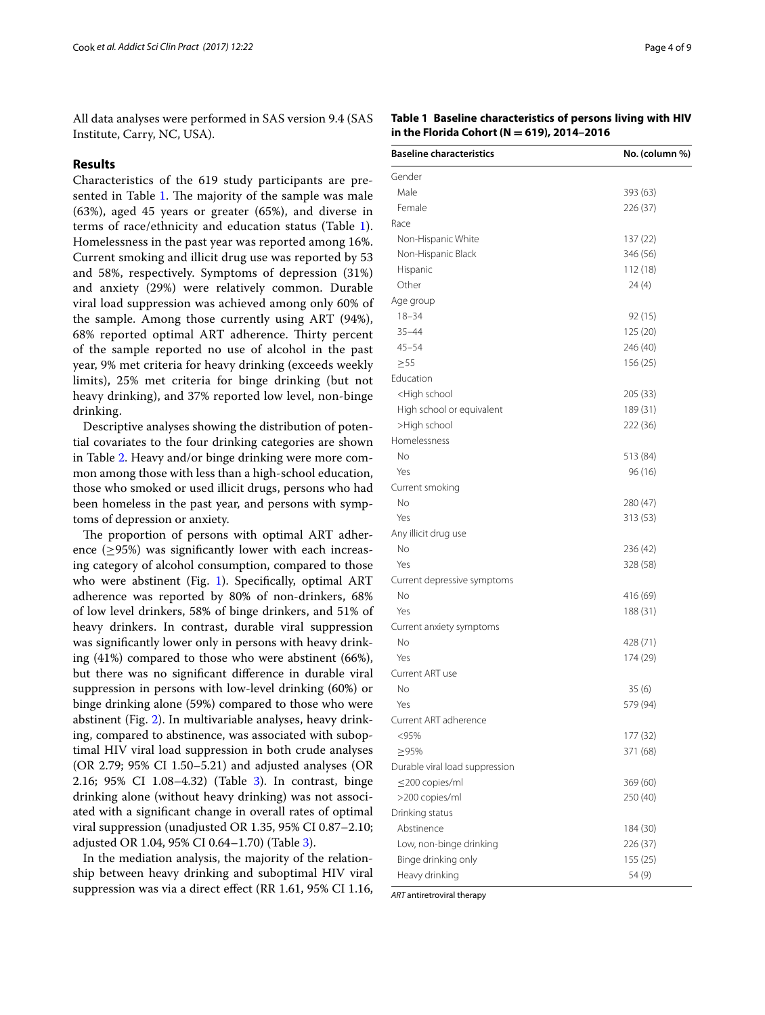All data analyses were performed in SAS version 9.4 (SAS Institute, Carry, NC, USA).

## **Results**

Characteristics of the 619 study participants are pre-sented in Table [1](#page-3-0). The majority of the sample was male (63%), aged 45 years or greater (65%), and diverse in terms of race/ethnicity and education status (Table [1](#page-3-0)). Homelessness in the past year was reported among 16%. Current smoking and illicit drug use was reported by 53 and 58%, respectively. Symptoms of depression (31%) and anxiety (29%) were relatively common. Durable viral load suppression was achieved among only 60% of the sample. Among those currently using ART (94%), 68% reported optimal ART adherence. Thirty percent of the sample reported no use of alcohol in the past year, 9% met criteria for heavy drinking (exceeds weekly limits), 25% met criteria for binge drinking (but not heavy drinking), and 37% reported low level, non-binge drinking.

Descriptive analyses showing the distribution of potential covariates to the four drinking categories are shown in Table [2](#page-4-0). Heavy and/or binge drinking were more common among those with less than a high-school education, those who smoked or used illicit drugs, persons who had been homeless in the past year, and persons with symptoms of depression or anxiety.

The proportion of persons with optimal ART adherence  $(≥95%)$  was significantly lower with each increasing category of alcohol consumption, compared to those who were abstinent (Fig. [1\)](#page-6-0). Specifically, optimal ART adherence was reported by 80% of non-drinkers, 68% of low level drinkers, 58% of binge drinkers, and 51% of heavy drinkers. In contrast, durable viral suppression was signifcantly lower only in persons with heavy drinking (41%) compared to those who were abstinent (66%), but there was no signifcant diference in durable viral suppression in persons with low-level drinking (60%) or binge drinking alone (59%) compared to those who were abstinent (Fig. [2](#page-6-1)). In multivariable analyses, heavy drinking, compared to abstinence, was associated with suboptimal HIV viral load suppression in both crude analyses (OR 2.79; 95% CI 1.50–5.21) and adjusted analyses (OR 2.16; 95% CI 1.08–4.32) (Table [3](#page-5-0)). In contrast, binge drinking alone (without heavy drinking) was not associated with a signifcant change in overall rates of optimal viral suppression (unadjusted OR 1.35, 95% CI 0.87–2.10; adjusted OR 1.04, 95% CI 0.64–1.70) (Table [3\)](#page-5-0).

In the mediation analysis, the majority of the relationship between heavy drinking and suboptimal HIV viral suppression was via a direct efect (RR 1.61, 95% CI 1.16,

## <span id="page-3-0"></span>**Table 1 Baseline characteristics of persons living with HIV in the Florida Cohort (N = 619), 2014–2016**

| <b>Baseline characteristics</b>                 | No. (column %)       |
|-------------------------------------------------|----------------------|
| Gender                                          |                      |
| Male                                            | 393 (63)             |
| Female                                          | 226 (37)             |
| Race                                            |                      |
| Non-Hispanic White                              | 137 (22)             |
| Non-Hispanic Black                              | 346 (56)             |
| Hispanic                                        | 112 (18)             |
| Other                                           | 24(4)                |
| Age group                                       |                      |
| $18 - 34$                                       | 92 (15)              |
| $35 - 44$                                       | 125 (20)             |
| $45 - 54$                                       | 246 (40)             |
| $\geq 55$                                       | 156 (25)             |
| Education                                       |                      |
| <high school<="" td=""><td>205 (33)</td></high> | 205 (33)             |
| High school or equivalent                       | 189 (31)             |
| >High school                                    | 222 (36)             |
| Homelessness                                    |                      |
| No                                              | 513 (84)             |
| Yes                                             | 96 (16)              |
| Current smoking                                 |                      |
| No                                              | 280 (47)             |
| Yes                                             | 313 (53)             |
| Any illicit drug use                            |                      |
| <b>No</b>                                       | 236 (42)             |
| Yes                                             | 328 (58)             |
| Current depressive symptoms                     |                      |
| <b>No</b>                                       | 416 (69)             |
| Yes                                             | 188 (31)             |
|                                                 |                      |
| Current anxiety symptoms<br>No                  |                      |
| Yes                                             | 428 (71)<br>174 (29) |
| Current ART use                                 |                      |
| No                                              |                      |
|                                                 | 35 (6)               |
| Yes                                             | 579 (94)             |
| Current ART adherence                           |                      |
| <95%                                            | 177 (32)             |
| ≥95%                                            | 371 (68)             |
| Durable viral load suppression                  |                      |
| $\leq$ 200 copies/ml                            | 369 (60)             |
| >200 copies/ml                                  | 250 (40)             |
| Drinking status                                 |                      |
| Abstinence                                      | 184 (30)             |
| Low, non-binge drinking                         | 226 (37)             |
| Binge drinking only                             | 155(25)              |
| Heavy drinking                                  | 54 (9)               |

*ART* antiretroviral therapy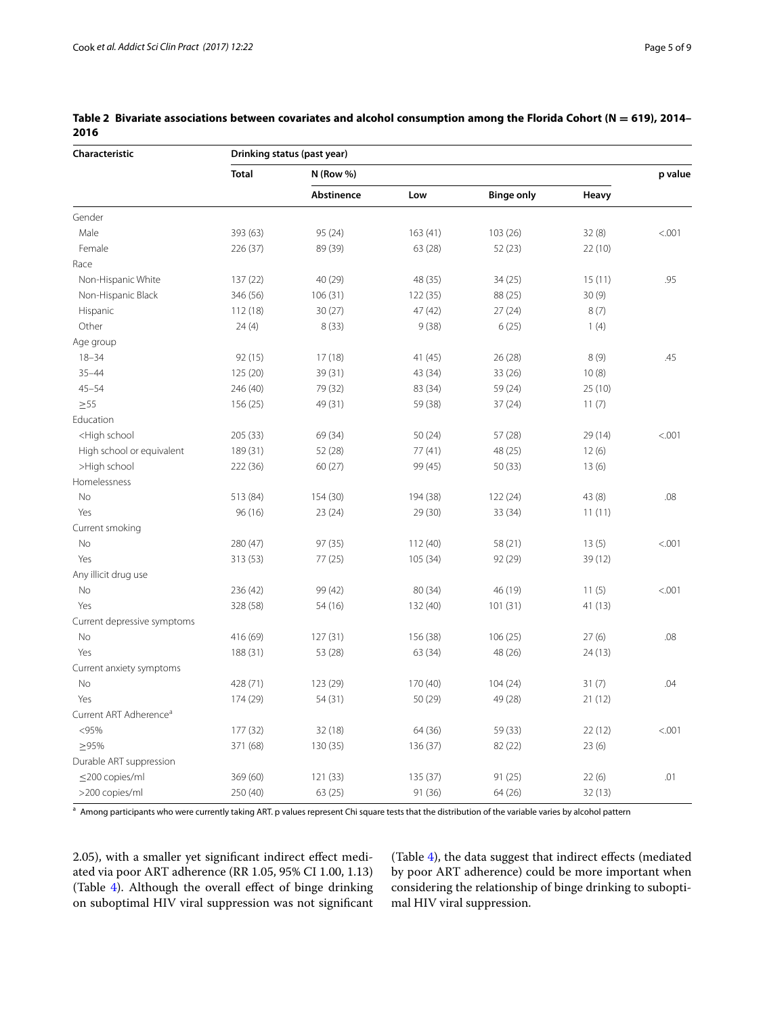| Characteristic                                                                                                                   | Drinking status (past year) |             |          |                   |         |        |
|----------------------------------------------------------------------------------------------------------------------------------|-----------------------------|-------------|----------|-------------------|---------|--------|
|                                                                                                                                  | <b>Total</b>                | $N$ (Row %) | p value  |                   |         |        |
|                                                                                                                                  |                             | Abstinence  | Low      | <b>Binge only</b> | Heavy   |        |
| Gender                                                                                                                           |                             |             |          |                   |         |        |
| Male                                                                                                                             | 393 (63)                    | 95 (24)     | 163(41)  | 103 (26)          | 32(8)   | < .001 |
| Female                                                                                                                           | 226 (37)                    | 89 (39)     | 63 (28)  | 52 (23)           | 22 (10) |        |
| Race                                                                                                                             |                             |             |          |                   |         |        |
| Non-Hispanic White                                                                                                               | 137 (22)                    | 40 (29)     | 48 (35)  | 34(25)            | 15(11)  | .95    |
| Non-Hispanic Black                                                                                                               | 346 (56)                    | 106(31)     | 122(35)  | 88 (25)           | 30(9)   |        |
| Hispanic                                                                                                                         | 112 (18)                    | 30(27)      | 47 (42)  | 27(24)            | 8(7)    |        |
| Other                                                                                                                            | 24(4)                       | 8(33)       | 9(38)    | 6(25)             | 1(4)    |        |
| Age group                                                                                                                        |                             |             |          |                   |         |        |
| $18 - 34$                                                                                                                        | 92(15)                      | 17(18)      | 41 (45)  | 26 (28)           | 8(9)    | .45    |
| $35 - 44$                                                                                                                        | 125(20)                     | 39 (31)     | 43 (34)  | 33 (26)           | 10(8)   |        |
| $45 - 54$                                                                                                                        | 246 (40)                    | 79 (32)     | 83 (34)  | 59 (24)           | 25 (10) |        |
| $\geq 55$                                                                                                                        | 156(25)                     | 49 (31)     | 59 (38)  | 37(24)            | 11(7)   |        |
| Education                                                                                                                        |                             |             |          |                   |         |        |
| <high school<="" td=""><td>205 (33)</td><td>69 (34)</td><td>50(24)</td><td>57 (28)</td><td>29 (14)</td><td>&lt; .001</td></high> | 205 (33)                    | 69 (34)     | 50(24)   | 57 (28)           | 29 (14) | < .001 |
| High school or equivalent                                                                                                        | 189 (31)                    | 52 (28)     | 77(41)   | 48 (25)           | 12(6)   |        |
| >High school                                                                                                                     | 222 (36)                    | 60(27)      | 99 (45)  | 50 (33)           | 13(6)   |        |
| Homelessness                                                                                                                     |                             |             |          |                   |         |        |
| <b>No</b>                                                                                                                        | 513 (84)                    | 154 (30)    | 194 (38) | 122 (24)          | 43 (8)  | .08    |
| Yes                                                                                                                              | 96(16)                      | 23(24)      | 29 (30)  | 33 (34)           | 11(11)  |        |
| Current smoking                                                                                                                  |                             |             |          |                   |         |        |
| No                                                                                                                               | 280 (47)                    | 97 (35)     | 112(40)  | 58 (21)           | 13(5)   | < .001 |
| Yes                                                                                                                              | 313 (53)                    | 77 (25)     | 105(34)  | 92 (29)           | 39 (12) |        |
| Any illicit drug use                                                                                                             |                             |             |          |                   |         |        |
| No                                                                                                                               | 236 (42)                    | 99 (42)     | 80 (34)  | 46 (19)           | 11(5)   | < .001 |
| Yes                                                                                                                              | 328 (58)                    | 54 (16)     | 132 (40) | 101(31)           | 41 (13) |        |
| Current depressive symptoms                                                                                                      |                             |             |          |                   |         |        |
| <b>No</b>                                                                                                                        | 416 (69)                    | 127(31)     | 156 (38) | 106(25)           | 27(6)   | .08    |
| Yes                                                                                                                              | 188 (31)                    | 53 (28)     | 63 (34)  | 48 (26)           | 24 (13) |        |
| Current anxiety symptoms                                                                                                         |                             |             |          |                   |         |        |
| No                                                                                                                               | 428 (71)                    | 123 (29)    | 170 (40) | 104(24)           | 31(7)   | .04    |
| Yes                                                                                                                              | 174 (29)                    | 54 (31)     | 50 (29)  | 49 (28)           | 21(12)  |        |
| Current ART Adherence <sup>a</sup>                                                                                               |                             |             |          |                   |         |        |
| < 95%                                                                                                                            | 177 (32)                    | 32(18)      | 64 (36)  | 59 (33)           | 22(12)  | < .001 |
| >95%                                                                                                                             | 371 (68)                    | 130 (35)    | 136 (37) | 82 (22)           | 23(6)   |        |
| Durable ART suppression                                                                                                          |                             |             |          |                   |         |        |
| ≤200 copies/ml                                                                                                                   | 369 (60)                    | 121(33)     | 135 (37) | 91 (25)           | 22(6)   | .01    |
| >200 copies/ml                                                                                                                   | 250 (40)                    | 63(25)      | 91 (36)  | 64 (26)           | 32 (13) |        |

<span id="page-4-0"></span>**Table 2 Bivariate associations between covariates and alcohol consumption among the Florida Cohort (N = 619), 2014– 2016**

<sup>a</sup> Among participants who were currently taking ART. p values represent Chi square tests that the distribution of the variable varies by alcohol pattern

2.05), with a smaller yet significant indirect effect mediated via poor ART adherence (RR 1.05, 95% CI 1.00, 1.13) (Table [4](#page-6-2)). Although the overall efect of binge drinking on suboptimal HIV viral suppression was not signifcant (Table [4\)](#page-6-2), the data suggest that indirect efects (mediated by poor ART adherence) could be more important when considering the relationship of binge drinking to suboptimal HIV viral suppression.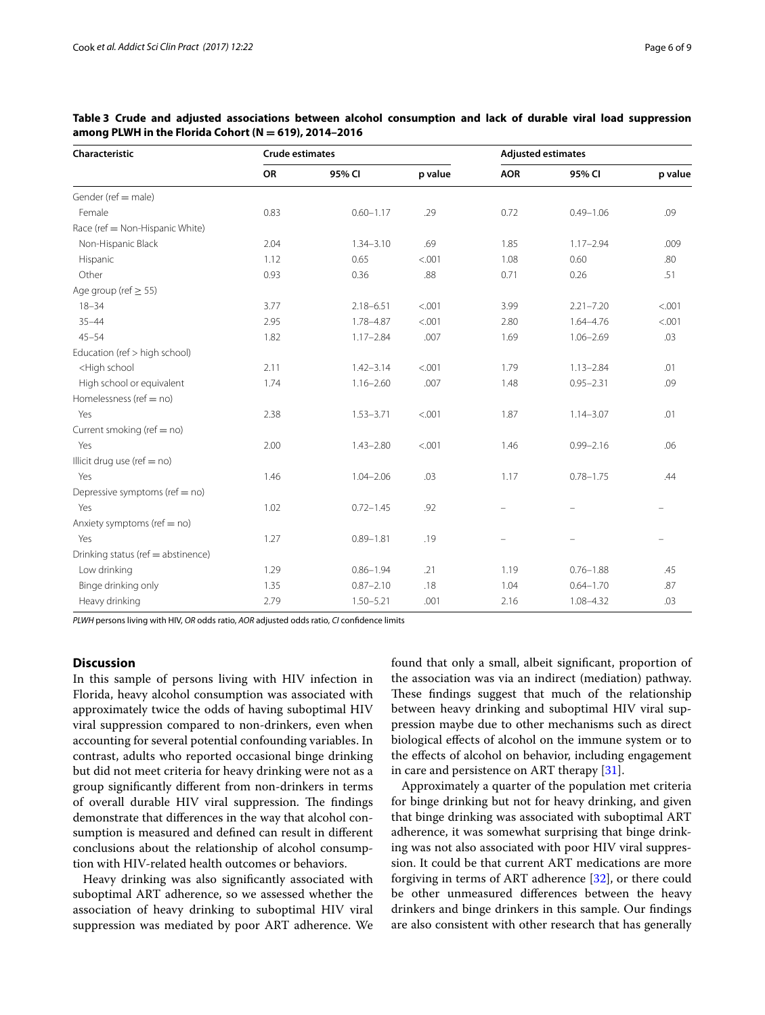| Characteristic                                                                                                                                           | <b>Crude estimates</b> |               |         | <b>Adjusted estimates</b> |               |         |
|----------------------------------------------------------------------------------------------------------------------------------------------------------|------------------------|---------------|---------|---------------------------|---------------|---------|
|                                                                                                                                                          | OR                     | 95% CI        | p value | <b>AOR</b>                | 95% CI        | p value |
| Gender (ref = male)                                                                                                                                      |                        |               |         |                           |               |         |
| Female                                                                                                                                                   | 0.83                   | $0.60 - 1.17$ | .29     | 0.72                      | $0.49 - 1.06$ | .09     |
| Race (ref = Non-Hispanic White)                                                                                                                          |                        |               |         |                           |               |         |
| Non-Hispanic Black                                                                                                                                       | 2.04                   | $1.34 - 3.10$ | .69     | 1.85                      | $1.17 - 2.94$ | .009    |
| Hispanic                                                                                                                                                 | 1.12                   | 0.65          | < .001  | 1.08                      | 0.60          | .80     |
| Other                                                                                                                                                    | 0.93                   | 0.36          | .88     | 0.71                      | 0.26          | .51     |
| Age group (ref $\geq$ 55)                                                                                                                                |                        |               |         |                           |               |         |
| $18 - 34$                                                                                                                                                | 3.77                   | $2.18 - 6.51$ | < .001  | 3.99                      | $2.21 - 7.20$ | < .001  |
| $35 - 44$                                                                                                                                                | 2.95                   | 1.78-4.87     | < .001  | 2.80                      | $1.64 - 4.76$ | < .001  |
| $45 - 54$                                                                                                                                                | 1.82                   | $1.17 - 2.84$ | .007    | 1.69                      | $1.06 - 2.69$ | .03     |
| Education (ref > high school)                                                                                                                            |                        |               |         |                           |               |         |
| <high school<="" td=""><td>2.11</td><td><math>1.42 - 3.14</math></td><td>&lt; .001</td><td>1.79</td><td><math>1.13 - 2.84</math></td><td>.01</td></high> | 2.11                   | $1.42 - 3.14$ | < .001  | 1.79                      | $1.13 - 2.84$ | .01     |
| High school or equivalent                                                                                                                                | 1.74                   | $1.16 - 2.60$ | .007    | 1.48                      | $0.95 - 2.31$ | .09     |
| Homelessness (ref = no)                                                                                                                                  |                        |               |         |                           |               |         |
| Yes                                                                                                                                                      | 2.38                   | $1.53 - 3.71$ | < .001  | 1.87                      | $1.14 - 3.07$ | .01     |
| Current smoking (ref = no)                                                                                                                               |                        |               |         |                           |               |         |
| Yes                                                                                                                                                      | 2.00                   | $1.43 - 2.80$ | < .001  | 1.46                      | $0.99 - 2.16$ | .06     |
| Illicit drug use (ref = no)                                                                                                                              |                        |               |         |                           |               |         |
| Yes                                                                                                                                                      | 1.46                   | $1.04 - 2.06$ | .03     | 1.17                      | $0.78 - 1.75$ | .44     |
| Depressive symptoms (ref = no)                                                                                                                           |                        |               |         |                           |               |         |
| Yes                                                                                                                                                      | 1.02                   | $0.72 - 1.45$ | .92     |                           |               |         |
| Anxiety symptoms (ref = no)                                                                                                                              |                        |               |         |                           |               |         |
| Yes                                                                                                                                                      | 1.27                   | $0.89 - 1.81$ | .19     |                           |               |         |
| Drinking status (ref = abstinence)                                                                                                                       |                        |               |         |                           |               |         |
| Low drinking                                                                                                                                             | 1.29                   | $0.86 - 1.94$ | .21     | 1.19                      | $0.76 - 1.88$ | .45     |

Binge drinking only 1.35 0.87–2.10 .18 1.04 0.64–1.70 .87 Heavy drinking 2.79 1.50–5.21 .001 2.16 1.08–4.32 .03

<span id="page-5-0"></span>**Table 3 Crude and adjusted associations between alcohol consumption and lack of durable viral load suppression among PLWH in the Florida Cohort (N = 619), 2014–2016**

*PLWH* persons living with HIV, *OR* odds ratio, *AOR* adjusted odds ratio, *CI* confdence limits

## **Discussion**

In this sample of persons living with HIV infection in Florida, heavy alcohol consumption was associated with approximately twice the odds of having suboptimal HIV viral suppression compared to non-drinkers, even when accounting for several potential confounding variables. In contrast, adults who reported occasional binge drinking but did not meet criteria for heavy drinking were not as a group signifcantly diferent from non-drinkers in terms of overall durable HIV viral suppression. The findings demonstrate that diferences in the way that alcohol consumption is measured and defned can result in diferent conclusions about the relationship of alcohol consumption with HIV-related health outcomes or behaviors.

Heavy drinking was also signifcantly associated with suboptimal ART adherence, so we assessed whether the association of heavy drinking to suboptimal HIV viral suppression was mediated by poor ART adherence. We found that only a small, albeit signifcant, proportion of the association was via an indirect (mediation) pathway. These findings suggest that much of the relationship between heavy drinking and suboptimal HIV viral suppression maybe due to other mechanisms such as direct biological efects of alcohol on the immune system or to the efects of alcohol on behavior, including engagement in care and persistence on ART therapy [\[31\]](#page-8-8).

Approximately a quarter of the population met criteria for binge drinking but not for heavy drinking, and given that binge drinking was associated with suboptimal ART adherence, it was somewhat surprising that binge drinking was not also associated with poor HIV viral suppression. It could be that current ART medications are more forgiving in terms of ART adherence [\[32](#page-8-9)], or there could be other unmeasured diferences between the heavy drinkers and binge drinkers in this sample. Our fndings are also consistent with other research that has generally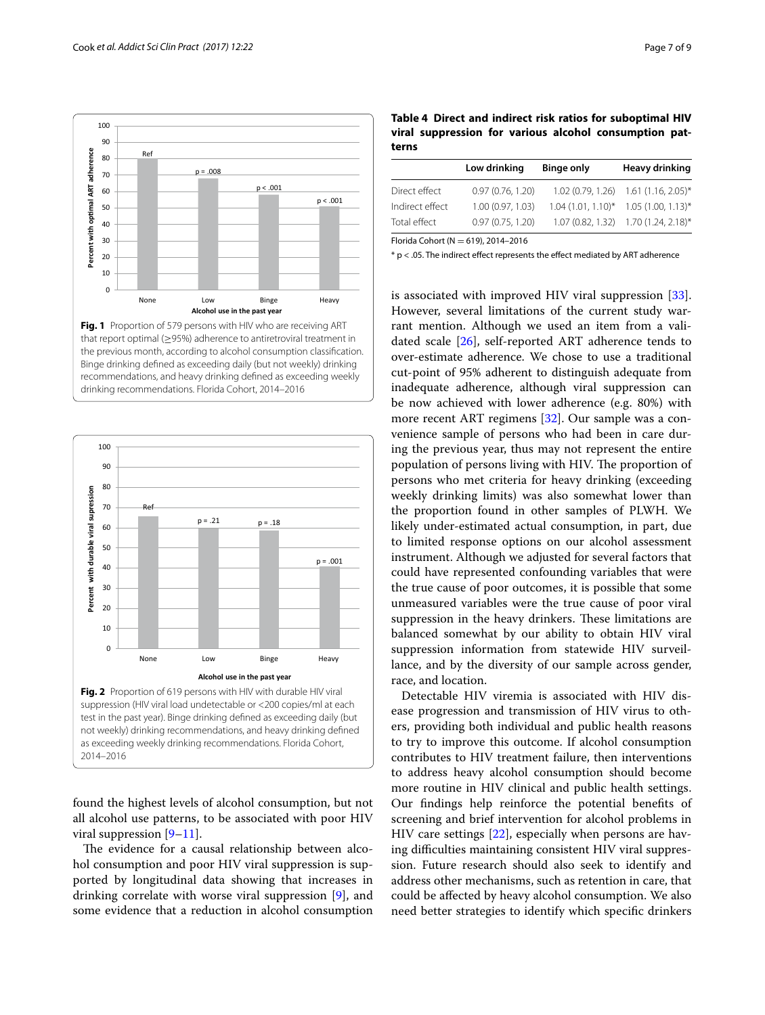Ref

**Percent with optimal ART adherence** 

Percent with optimal ART adherence

<span id="page-6-0"></span>

p = .008

 $p < .001$ 

 $p < .001$ 



<span id="page-6-1"></span>found the highest levels of alcohol consumption, but not all alcohol use patterns, to be associated with poor HIV viral suppression  $[9-11]$  $[9-11]$ .

The evidence for a causal relationship between alcohol consumption and poor HIV viral suppression is supported by longitudinal data showing that increases in drinking correlate with worse viral suppression [\[9](#page-7-8)], and some evidence that a reduction in alcohol consumption

<span id="page-6-2"></span>**Table 4 Direct and indirect risk ratios for suboptimal HIV viral suppression for various alcohol consumption patterns**

|                 | Low drinking      | <b>Binge only</b> | Heavy drinking                          |
|-----------------|-------------------|-------------------|-----------------------------------------|
| Direct effect   | 0.97(0.76, 1.20)  |                   | $1.02(0.79, 1.26)$ $1.61(1.16, 2.05)^*$ |
| Indirect effect | 1.00 (0.97, 1.03) |                   | $1.04(1.01, 1.10)^*$ 1.05 (1.00, 1.13)* |
| Total effect    | 0.97(0.75, 1.20)  |                   | 1.07 (0.82, 1.32) 1.70 (1.24, 2.18)*    |
|                 |                   |                   |                                         |

Florida Cohort ( $N = 619$ ), 2014-2016

 $*$  p < .05. The indirect effect represents the effect mediated by ART adherence

is associated with improved HIV viral suppression [\[33](#page-8-10)]. However, several limitations of the current study warrant mention. Although we used an item from a validated scale [\[26](#page-8-3)], self-reported ART adherence tends to over-estimate adherence. We chose to use a traditional cut-point of 95% adherent to distinguish adequate from inadequate adherence, although viral suppression can be now achieved with lower adherence (e.g. 80%) with more recent ART regimens [\[32](#page-8-9)]. Our sample was a convenience sample of persons who had been in care during the previous year, thus may not represent the entire population of persons living with HIV. The proportion of persons who met criteria for heavy drinking (exceeding weekly drinking limits) was also somewhat lower than the proportion found in other samples of PLWH. We likely under-estimated actual consumption, in part, due to limited response options on our alcohol assessment instrument. Although we adjusted for several factors that could have represented confounding variables that were the true cause of poor outcomes, it is possible that some unmeasured variables were the true cause of poor viral suppression in the heavy drinkers. These limitations are balanced somewhat by our ability to obtain HIV viral suppression information from statewide HIV surveillance, and by the diversity of our sample across gender, race, and location.

Detectable HIV viremia is associated with HIV disease progression and transmission of HIV virus to others, providing both individual and public health reasons to try to improve this outcome. If alcohol consumption contributes to HIV treatment failure, then interventions to address heavy alcohol consumption should become more routine in HIV clinical and public health settings. Our fndings help reinforce the potential benefts of screening and brief intervention for alcohol problems in HIV care settings [[22](#page-7-19)], especially when persons are having difficulties maintaining consistent HIV viral suppression. Future research should also seek to identify and address other mechanisms, such as retention in care, that could be afected by heavy alcohol consumption. We also need better strategies to identify which specifc drinkers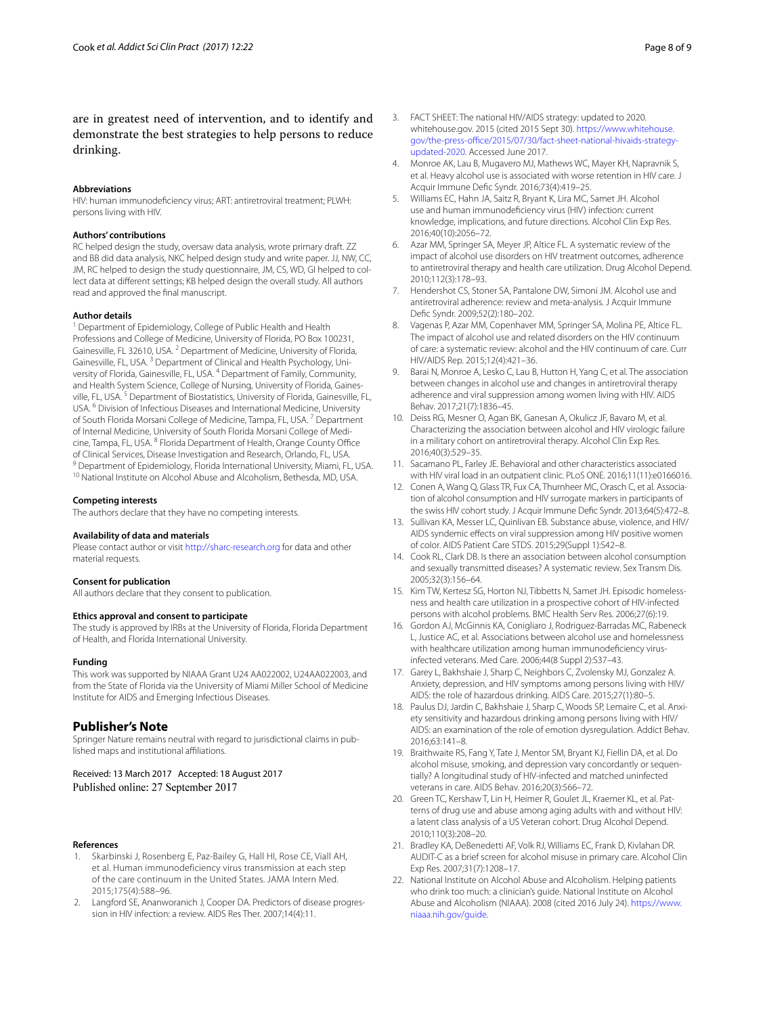are in greatest need of intervention, and to identify and demonstrate the best strategies to help persons to reduce drinking.

## **Abbreviations**

HIV: human immunodefciency virus; ART: antiretroviral treatment; PLWH: persons living with HIV.

#### **Authors' contributions**

RC helped design the study, oversaw data analysis, wrote primary draft. ZZ and BB did data analysis, NKC helped design study and write paper. JJ, NW, CC, JM, RC helped to design the study questionnaire, JM, CS, WD, GI helped to collect data at diferent settings; KB helped design the overall study. All authors read and approved the fnal manuscript.

#### **Author details**

<sup>1</sup> Department of Epidemiology, College of Public Health and Health Professions and College of Medicine, University of Florida, PO Box 100231, Gainesville, FL 32610, USA. <sup>2</sup> Department of Medicine, University of Florida, Gainesville, FL, USA.<sup>3</sup> Department of Clinical and Health Psychology, University of Florida, Gainesville, FL, USA. 4 Department of Family, Community, and Health System Science, College of Nursing, University of Florida, Gainesville, FL, USA. 5 Department of Biostatistics, University of Florida, Gainesville, FL, USA. 6 Division of Infectious Diseases and International Medicine, University of South Florida Morsani College of Medicine, Tampa, FL, USA.<sup>7</sup> Department of Internal Medicine, University of South Florida Morsani College of Medicine, Tampa, FL, USA. <sup>8</sup> Florida Department of Health, Orange County Office of Clinical Services, Disease Investigation and Research, Orlando, FL, USA.<br><sup>9</sup> Department of Epidemiology, Florida International University, Miami, FL, USA.<br><sup>10</sup> National Institute on Alcohol Abuse and Alcoholism, Bethesd

#### **Competing interests**

The authors declare that they have no competing interests.

#### **Availability of data and materials**

Please contact author or visit<http://sharc-research.org> for data and other material requests.

#### **Consent for publication**

All authors declare that they consent to publication.

#### **Ethics approval and consent to participate**

The study is approved by IRBs at the University of Florida, Florida Department of Health, and Florida International University.

#### **Funding**

This work was supported by NIAAA Grant U24 AA022002, U24AA022003, and from the State of Florida via the University of Miami Miller School of Medicine Institute for AIDS and Emerging Infectious Diseases.

## **Publisher's Note**

Springer Nature remains neutral with regard to jurisdictional claims in published maps and institutional afliations.

## Received: 13 March 2017 Accepted: 18 August 2017 Published online: 27 September 2017

#### **References**

- <span id="page-7-0"></span>1. Skarbinski J, Rosenberg E, Paz-Bailey G, Hall HI, Rose CE, Viall AH, et al. Human immunodeficiency virus transmission at each step of the care continuum in the United States. JAMA Intern Med. 2015;175(4):588–96.
- <span id="page-7-1"></span>2. Langford SE, Ananworanich J, Cooper DA. Predictors of disease progression in HIV infection: a review. AIDS Res Ther. 2007;14(4):11.
- <span id="page-7-2"></span>3. FACT SHEET: The national HIV/AIDS strategy: updated to 2020. whitehouse.gov. 2015 (cited 2015 Sept 30). [https://www.whitehouse.](https://www.whitehouse.gov/the-press-office/2015/07/30/fact-sheet-national-hivaids-strategy-updated-2020) gov/the-press-office/2015/07/30/fact-sheet-national-hivaids-strategy[updated-2020](https://www.whitehouse.gov/the-press-office/2015/07/30/fact-sheet-national-hivaids-strategy-updated-2020). Accessed June 2017.
- <span id="page-7-3"></span>4. Monroe AK, Lau B, Mugavero MJ, Mathews WC, Mayer KH, Napravnik S, et al. Heavy alcohol use is associated with worse retention in HIV care. J Acquir Immune Defc Syndr. 2016;73(4):419–25.
- <span id="page-7-4"></span>5. Williams EC, Hahn JA, Saitz R, Bryant K, Lira MC, Samet JH. Alcohol use and human immunodefciency virus (HIV) infection: current knowledge, implications, and future directions. Alcohol Clin Exp Res. 2016;40(10):2056–72.
- <span id="page-7-5"></span>6. Azar MM, Springer SA, Meyer JP, Altice FL. A systematic review of the impact of alcohol use disorders on HIV treatment outcomes, adherence to antiretroviral therapy and health care utilization. Drug Alcohol Depend. 2010;112(3):178–93.
- <span id="page-7-6"></span>7. Hendershot CS, Stoner SA, Pantalone DW, Simoni JM. Alcohol use and antiretroviral adherence: review and meta-analysis. J Acquir Immune Defc Syndr. 2009;52(2):180–202.
- <span id="page-7-7"></span>8. Vagenas P, Azar MM, Copenhaver MM, Springer SA, Molina PE, Altice FL. The impact of alcohol use and related disorders on the HIV continuum of care: a systematic review: alcohol and the HIV continuum of care. Curr HIV/AIDS Rep. 2015;12(4):421–36.
- <span id="page-7-8"></span>Barai N, Monroe A, Lesko C, Lau B, Hutton H, Yang C, et al. The association between changes in alcohol use and changes in antiretroviral therapy adherence and viral suppression among women living with HIV. AIDS Behav. 2017;21(7):1836–45.
- 10. Deiss RG, Mesner O, Agan BK, Ganesan A, Okulicz JF, Bavaro M, et al. Characterizing the association between alcohol and HIV virologic failure in a military cohort on antiretroviral therapy. Alcohol Clin Exp Res. 2016;40(3):529–35.
- <span id="page-7-9"></span>11. Sacamano PL, Farley JE. Behavioral and other characteristics associated with HIV viral load in an outpatient clinic. PLoS ONE. 2016;11(11):e0166016.
- <span id="page-7-10"></span>12. Conen A, Wang Q, Glass TR, Fux CA, Thurnheer MC, Orasch C, et al. Association of alcohol consumption and HIV surrogate markers in participants of the swiss HIV cohort study. J Acquir Immune Defc Syndr. 2013;64(5):472–8.
- <span id="page-7-11"></span>13. Sullivan KA, Messer LC, Quinlivan EB. Substance abuse, violence, and HIV/ AIDS syndemic efects on viral suppression among HIV positive women of color. AIDS Patient Care STDS. 2015;29(Suppl 1):S42–8.
- <span id="page-7-12"></span>14. Cook RL, Clark DB. Is there an association between alcohol consumption and sexually transmitted diseases? A systematic review. Sex Transm Dis. 2005;32(3):156–64.
- <span id="page-7-13"></span>15. Kim TW, Kertesz SG, Horton NJ, Tibbetts N, Samet JH. Episodic homelessness and health care utilization in a prospective cohort of HIV-infected persons with alcohol problems. BMC Health Serv Res. 2006;27(6):19.
- <span id="page-7-14"></span>16. Gordon AJ, McGinnis KA, Conigliaro J, Rodriguez-Barradas MC, Rabeneck L, Justice AC, et al. Associations between alcohol use and homelessness with healthcare utilization among human immunodefciency virusinfected veterans. Med Care. 2006;44(8 Suppl 2):S37–43.
- <span id="page-7-15"></span>17. Garey L, Bakhshaie J, Sharp C, Neighbors C, Zvolensky MJ, Gonzalez A. Anxiety, depression, and HIV symptoms among persons living with HIV/ AIDS: the role of hazardous drinking. AIDS Care. 2015;27(1):80–5.
- <span id="page-7-16"></span>18. Paulus DJ, Jardin C, Bakhshaie J, Sharp C, Woods SP, Lemaire C, et al. Anxiety sensitivity and hazardous drinking among persons living with HIV/ AIDS: an examination of the role of emotion dysregulation. Addict Behav. 2016;63:141–8.
- 19. Braithwaite RS, Fang Y, Tate J, Mentor SM, Bryant KJ, Fiellin DA, et al. Do alcohol misuse, smoking, and depression vary concordantly or sequentially? A longitudinal study of HIV-infected and matched uninfected veterans in care. AIDS Behav. 2016;20(3):566–72.
- <span id="page-7-17"></span>20. Green TC, Kershaw T, Lin H, Heimer R, Goulet JL, Kraemer KL, et al. Patterns of drug use and abuse among aging adults with and without HIV: a latent class analysis of a US Veteran cohort. Drug Alcohol Depend. 2010;110(3):208–20.
- <span id="page-7-18"></span>21. Bradley KA, DeBenedetti AF, Volk RJ, Williams EC, Frank D, Kivlahan DR. AUDIT-C as a brief screen for alcohol misuse in primary care. Alcohol Clin Exp Res. 2007;31(7):1208–17.
- <span id="page-7-19"></span>22. National Institute on Alcohol Abuse and Alcoholism. Helping patients who drink too much: a clinician's guide. National Institute on Alcohol Abuse and Alcoholism (NIAAA). 2008 (cited 2016 July 24). [https://www.](https://www.niaaa.nih.gov/guide) [niaaa.nih.gov/guide](https://www.niaaa.nih.gov/guide).